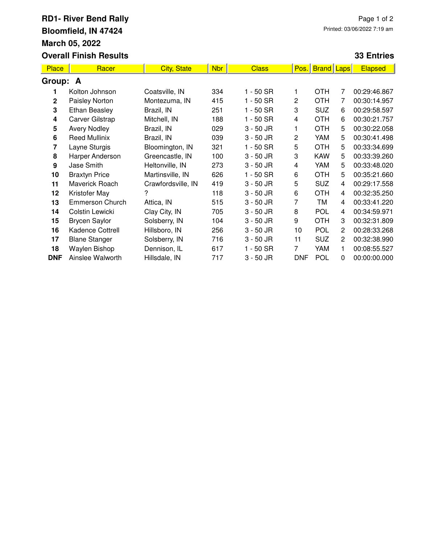## **RD1- River Bend Rally Bloomfield, IN 47424 March 05, 2022 Overall Finish Results**

## **33 Entries**

| <b>Place</b> | Racer                  | <b>City, State</b> | <b>Nbr</b> | <b>Class</b> | Pos.           | <b>Brand Laps</b> |              | <b>Elapsed</b> |  |  |  |
|--------------|------------------------|--------------------|------------|--------------|----------------|-------------------|--------------|----------------|--|--|--|
| Group: A     |                        |                    |            |              |                |                   |              |                |  |  |  |
| 1.           | Kolton Johnson         | Coatsville, IN     | 334        | $1 - 50$ SR  |                | <b>OTH</b>        | 7            | 00:29:46.867   |  |  |  |
| $\mathbf{2}$ | Paisley Norton         | Montezuma, IN      | 415        | $1 - 50$ SR  | 2              | <b>OTH</b>        | 7            | 00:30:14.957   |  |  |  |
| 3            | <b>Ethan Beasley</b>   | Brazil, IN         | 251        | $1 - 50$ SR  | 3              | <b>SUZ</b>        | 6            | 00:29:58.597   |  |  |  |
| 4            | <b>Carver Gilstrap</b> | Mitchell, IN       | 188        | $1 - 50$ SR  | 4              | <b>OTH</b>        | 6            | 00:30:21.757   |  |  |  |
| 5            | <b>Avery Nodley</b>    | Brazil, IN         | 029        | $3 - 50$ JR  | 1              | <b>OTH</b>        | 5            | 00:30:22.058   |  |  |  |
| 6            | <b>Reed Mullinix</b>   | Brazil, IN         | 039        | $3 - 50$ JR  | $\overline{c}$ | YAM               | 5            | 00:30:41.498   |  |  |  |
| 7            | Layne Sturgis          | Bloomington, IN    | 321        | $1 - 50$ SR  | 5              | <b>OTH</b>        | 5            | 00:33:34.699   |  |  |  |
| 8            | Harper Anderson        | Greencastle, IN    | 100        | $3 - 50$ JR  | 3              | <b>KAW</b>        | 5            | 00:33:39.260   |  |  |  |
| 9            | Jase Smith             | Heltonville, IN    | 273        | 3 - 50 JR    | 4              | YAM               | 5            | 00:33:48.020   |  |  |  |
| 10           | <b>Braxtyn Price</b>   | Martinsville, IN   | 626        | $1 - 50$ SR  | 6              | <b>OTH</b>        | 5            | 00:35:21.660   |  |  |  |
| 11           | Maverick Roach         | Crawfordsville, IN | 419        | $3 - 50$ JR  | 5              | <b>SUZ</b>        | 4            | 00:29:17.558   |  |  |  |
| 12           | Kristofer May          | 2                  | 118        | 3 - 50 JR    | 6              | <b>OTH</b>        | 4            | 00:32:35.250   |  |  |  |
| 13           | Emmerson Church        | Attica, IN         | 515        | 3 - 50 JR    | 7              | TM                | 4            | 00:33:41.220   |  |  |  |
| 14           | Colstin Lewicki        | Clay City, IN      | 705        | $3 - 50$ JR  | 8              | <b>POL</b>        | 4            | 00:34:59.971   |  |  |  |
| 15           | <b>Brycen Saylor</b>   | Solsberry, IN      | 104        | $3 - 50$ JR  | 9              | <b>OTH</b>        | 3            | 00:32:31.809   |  |  |  |
| 16           | Kadence Cottrell       | Hillsboro, IN      | 256        | $3 - 50$ JR  | 10             | POL               | 2            | 00:28:33.268   |  |  |  |
| 17           | <b>Blane Stanger</b>   | Solsberry, IN      | 716        | $3 - 50$ JR  | 11             | <b>SUZ</b>        | $\mathbf{2}$ | 00:32:38.990   |  |  |  |
| 18           | Waylen Bishop          | Dennison, IL       | 617        | 1 - 50 SR    | 7              | YAM               | 1.           | 00:08:55.527   |  |  |  |
| <b>DNF</b>   | Ainslee Walworth       | Hillsdale, IN      | 717        | $3 - 50$ JR  | <b>DNF</b>     | POL               | 0            | 00:00:00.000   |  |  |  |